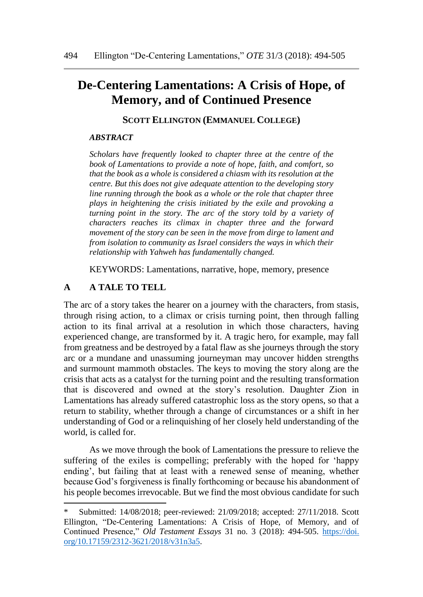# **De-Centering Lamentations: A Crisis of Hope, of Memory, and of Continued Presence**

**SCOTT ELLINGTON (EMMANUEL COLLEGE)**

#### *ABSTRACT*

*Scholars have frequently looked to chapter three at the centre of the book of Lamentations to provide a note of hope, faith, and comfort, so that the book as a whole is considered a chiasm with its resolution at the centre. But this does not give adequate attention to the developing story line running through the book as a whole or the role that chapter three plays in heightening the crisis initiated by the exile and provoking a turning point in the story. The arc of the story told by a variety of characters reaches its climax in chapter three and the forward movement of the story can be seen in the move from dirge to lament and from isolation to community as Israel considers the ways in which their relationship with Yahweh has fundamentally changed. \**

KEYWORDS: Lamentations, narrative, hope, memory, presence

#### **A A TALE TO TELL**

 $\overline{a}$ 

The arc of a story takes the hearer on a journey with the characters, from stasis, through rising action, to a climax or crisis turning point, then through falling action to its final arrival at a resolution in which those characters, having experienced change, are transformed by it. A tragic hero, for example, may fall from greatness and be destroyed by a fatal flaw as she journeys through the story arc or a mundane and unassuming journeyman may uncover hidden strengths and surmount mammoth obstacles. The keys to moving the story along are the crisis that acts as a catalyst for the turning point and the resulting transformation that is discovered and owned at the story's resolution. Daughter Zion in Lamentations has already suffered catastrophic loss as the story opens, so that a return to stability, whether through a change of circumstances or a shift in her understanding of God or a relinquishing of her closely held understanding of the world, is called for.

As we move through the book of Lamentations the pressure to relieve the suffering of the exiles is compelling; preferably with the hoped for 'happy ending', but failing that at least with a renewed sense of meaning, whether because God's forgiveness is finally forthcoming or because his abandonment of his people becomes irrevocable. But we find the most obvious candidate for such

<sup>\*</sup> Submitted: 14/08/2018; peer-reviewed: 21/09/2018; accepted: 27/11/2018. Scott Ellington, "De-Centering Lamentations: A Crisis of Hope, of Memory, and of Continued Presence," *Old Testament Essays* 31 no. 3 (2018): 494-505. https://doi. org/10.17159/2312-3621/2018/v31n3a5.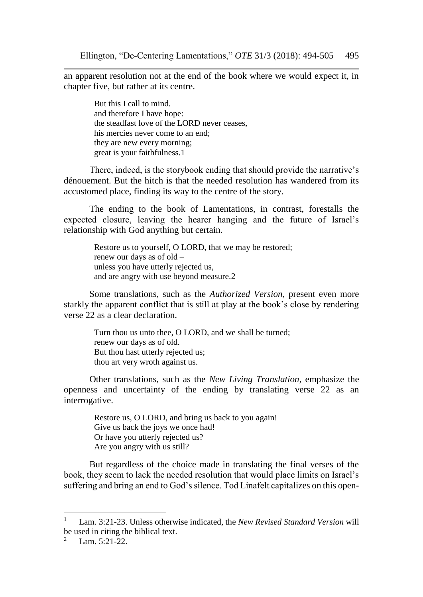an apparent resolution not at the end of the book where we would expect it, in chapter five, but rather at its centre.

> But this I call to mind. and therefore I have hope: the steadfast love of the LORD never ceases, his mercies never come to an end; they are new every morning; great is your faithfulness.1

There, indeed, is the storybook ending that should provide the narrative's dénouement. But the hitch is that the needed resolution has wandered from its accustomed place, finding its way to the centre of the story.

The ending to the book of Lamentations, in contrast, forestalls the expected closure, leaving the hearer hanging and the future of Israel's relationship with God anything but certain.

Restore us to yourself, O LORD, that we may be restored; renew our days as of old – unless you have utterly rejected us, and are angry with use beyond measure.2

Some translations, such as the *Authorized Version*, present even more starkly the apparent conflict that is still at play at the book's close by rendering verse 22 as a clear declaration.

> Turn thou us unto thee, O LORD, and we shall be turned; renew our days as of old. But thou hast utterly rejected us; thou art very wroth against us.

Other translations, such as the *New Living Translation*, emphasize the openness and uncertainty of the ending by translating verse 22 as an interrogative.

> Restore us, O LORD, and bring us back to you again! Give us back the joys we once had! Or have you utterly rejected us? Are you angry with us still?

But regardless of the choice made in translating the final verses of the book, they seem to lack the needed resolution that would place limits on Israel's suffering and bring an end to God's silence. Tod Linafelt capitalizes on this open-

<sup>1</sup> Lam. 3:21-23. Unless otherwise indicated, the *New Revised Standard Version* will be used in citing the biblical text.

Lam. 5:21-22.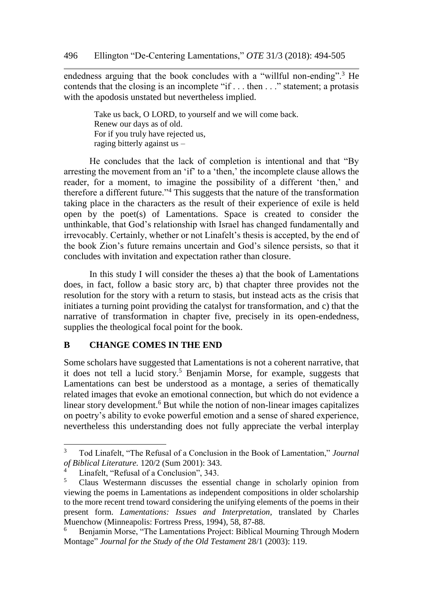endedness arguing that the book concludes with a "willful non-ending".<sup>3</sup> He contends that the closing is an incomplete "if . . . then . . ." statement; a protasis with the apodosis unstated but nevertheless implied.

> Take us back, O LORD, to yourself and we will come back. Renew our days as of old. For if you truly have rejected us, raging bitterly against us –

He concludes that the lack of completion is intentional and that "By arresting the movement from an 'if' to a 'then,' the incomplete clause allows the reader, for a moment, to imagine the possibility of a different 'then,' and therefore a different future."<sup>4</sup> This suggests that the nature of the transformation taking place in the characters as the result of their experience of exile is held open by the poet(s) of Lamentations. Space is created to consider the unthinkable, that God's relationship with Israel has changed fundamentally and irrevocably. Certainly, whether or not Linafelt's thesis is accepted, by the end of the book Zion's future remains uncertain and God's silence persists, so that it concludes with invitation and expectation rather than closure.

In this study I will consider the theses a) that the book of Lamentations does, in fact, follow a basic story arc, b) that chapter three provides not the resolution for the story with a return to stasis, but instead acts as the crisis that initiates a turning point providing the catalyst for transformation, and c) that the narrative of transformation in chapter five, precisely in its open-endedness, supplies the theological focal point for the book.

## **B CHANGE COMES IN THE END**

Some scholars have suggested that Lamentations is not a coherent narrative, that it does not tell a lucid story.<sup>5</sup> Benjamin Morse, for example, suggests that Lamentations can best be understood as a montage, a series of thematically related images that evoke an emotional connection, but which do not evidence a linear story development.<sup>6</sup> But while the notion of non-linear images capitalizes on poetry's ability to evoke powerful emotion and a sense of shared experience, nevertheless this understanding does not fully appreciate the verbal interplay

<sup>3</sup> Tod Linafelt, "The Refusal of a Conclusion in the Book of Lamentation," *Journal of Biblical Literature.* 120/2 (Sum 2001): 343.

<sup>&</sup>lt;sup>4</sup> Linafelt, "Refusal of a Conclusion", 343.

<sup>5</sup> Claus Westermann discusses the essential change in scholarly opinion from viewing the poems in Lamentations as independent compositions in older scholarship to the more recent trend toward considering the unifying elements of the poems in their present form. *Lamentations: Issues and Interpretation*, translated by Charles Muenchow (Minneapolis: Fortress Press, 1994), 58, 87-88.

<sup>6</sup> Benjamin Morse, "The Lamentations Project: Biblical Mourning Through Modern Montage" *Journal for the Study of the Old Testament* 28/1 (2003): 119.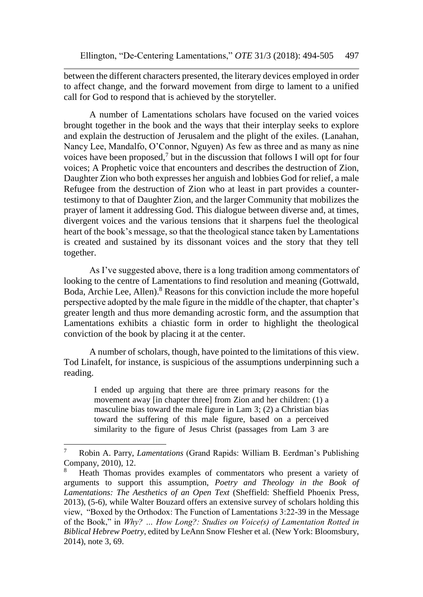between the different characters presented, the literary devices employed in order to affect change, and the forward movement from dirge to lament to a unified call for God to respond that is achieved by the storyteller.

A number of Lamentations scholars have focused on the varied voices brought together in the book and the ways that their interplay seeks to explore and explain the destruction of Jerusalem and the plight of the exiles. (Lanahan, Nancy Lee, Mandalfo, O'Connor, Nguyen) As few as three and as many as nine voices have been proposed,<sup>7</sup> but in the discussion that follows I will opt for four voices; A Prophetic voice that encounters and describes the destruction of Zion, Daughter Zion who both expresses her anguish and lobbies God for relief, a male Refugee from the destruction of Zion who at least in part provides a countertestimony to that of Daughter Zion, and the larger Community that mobilizes the prayer of lament it addressing God. This dialogue between diverse and, at times, divergent voices and the various tensions that it sharpens fuel the theological heart of the book's message, so that the theological stance taken by Lamentations is created and sustained by its dissonant voices and the story that they tell together.

As I've suggested above, there is a long tradition among commentators of looking to the centre of Lamentations to find resolution and meaning (Gottwald, Boda, Archie Lee, Allen).<sup>8</sup> Reasons for this conviction include the more hopeful perspective adopted by the male figure in the middle of the chapter, that chapter's greater length and thus more demanding acrostic form, and the assumption that Lamentations exhibits a chiastic form in order to highlight the theological conviction of the book by placing it at the center.

A number of scholars, though, have pointed to the limitations of this view. Tod Linafelt, for instance, is suspicious of the assumptions underpinning such a reading.

I ended up arguing that there are three primary reasons for the movement away [in chapter three] from Zion and her children: (1) a masculine bias toward the male figure in Lam 3; (2) a Christian bias toward the suffering of this male figure, based on a perceived similarity to the figure of Jesus Christ (passages from Lam 3 are

<sup>7</sup> Robin A. Parry, *Lamentations* (Grand Rapids: William B. Eerdman's Publishing Company, 2010), 12.

<sup>8</sup> Heath Thomas provides examples of commentators who present a variety of arguments to support this assumption, *Poetry and Theology in the Book of Lamentations: The Aesthetics of an Open Text* (Sheffield: Sheffield Phoenix Press, 2013), (5-6), while Walter Bouzard offers an extensive survey of scholars holding this view, "Boxed by the Orthodox: The Function of Lamentations 3:22-39 in the Message of the Book," in *Why? … How Long?: Studies on Voice(s) of Lamentation Rotted in Biblical Hebrew Poetry*, edited by LeAnn Snow Flesher et al. (New York: Bloomsbury, 2014), note 3, 69.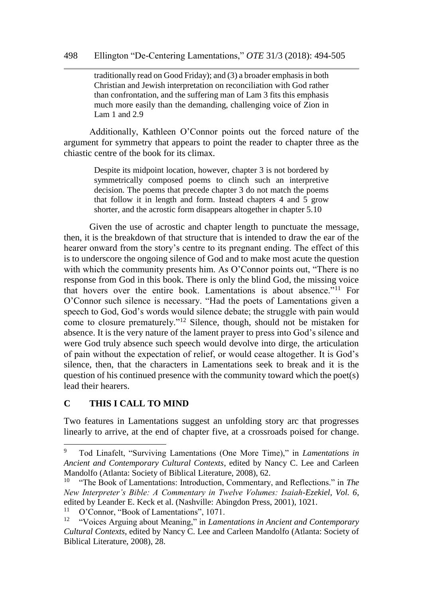traditionally read on Good Friday); and (3) a broader emphasis in both Christian and Jewish interpretation on reconciliation with God rather than confrontation, and the suffering man of Lam 3 fits this emphasis much more easily than the demanding, challenging voice of Zion in Lam 1 and 2.9

Additionally, Kathleen O'Connor points out the forced nature of the argument for symmetry that appears to point the reader to chapter three as the chiastic centre of the book for its climax.

> Despite its midpoint location, however, chapter 3 is not bordered by symmetrically composed poems to clinch such an interpretive decision. The poems that precede chapter 3 do not match the poems that follow it in length and form. Instead chapters 4 and 5 grow shorter, and the acrostic form disappears altogether in chapter 5.10

Given the use of acrostic and chapter length to punctuate the message, then, it is the breakdown of that structure that is intended to draw the ear of the hearer onward from the story's centre to its pregnant ending. The effect of this is to underscore the ongoing silence of God and to make most acute the question with which the community presents him. As O'Connor points out, "There is no response from God in this book. There is only the blind God, the missing voice that hovers over the entire book. Lamentations is about absence."<sup>11</sup> For O'Connor such silence is necessary. "Had the poets of Lamentations given a speech to God, God's words would silence debate; the struggle with pain would come to closure prematurely."<sup>12</sup> Silence, though, should not be mistaken for absence. It is the very nature of the lament prayer to press into God's silence and were God truly absence such speech would devolve into dirge, the articulation of pain without the expectation of relief, or would cease altogether. It is God's silence, then, that the characters in Lamentations seek to break and it is the question of his continued presence with the community toward which the poet(s) lead their hearers.

## **C THIS I CALL TO MIND**

 $\overline{a}$ 

Two features in Lamentations suggest an unfolding story arc that progresses linearly to arrive, at the end of chapter five, at a crossroads poised for change.

<sup>9</sup> Tod Linafelt, "Surviving Lamentations (One More Time)," in *Lamentations in Ancient and Contemporary Cultural Contexts*, edited by Nancy C. Lee and Carleen Mandolfo (Atlanta: Society of Biblical Literature, 2008), 62.<br><sup>10</sup> "The Book of Lamentations: Introduction Commentary

<sup>&</sup>quot;The Book of Lamentations: Introduction, Commentary, and Reflections." in *The New Interpreter's Bible: A Commentary in Twelve Volumes: Isaiah-Ezekiel, Vol. 6*, edited by Leander E. Keck et al. (Nashville: Abingdon Press, 2001), 1021.

<sup>&</sup>lt;sup>11</sup> O'Connor, "Book of Lamentations", 1071.<br><sup>12</sup> "Voices Arquing about Meaning" in Lame

<sup>12</sup> "Voices Arguing about Meaning," in *Lamentations in Ancient and Contemporary Cultural Contexts*, edited by Nancy C. Lee and Carleen Mandolfo (Atlanta: Society of Biblical Literature, 2008), 28.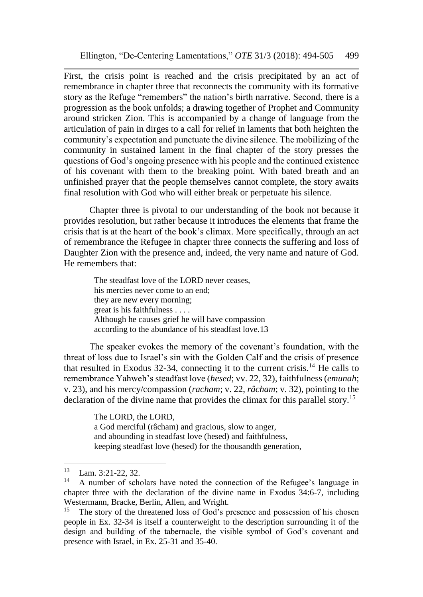First, the crisis point is reached and the crisis precipitated by an act of remembrance in chapter three that reconnects the community with its formative story as the Refuge "remembers" the nation's birth narrative. Second, there is a progression as the book unfolds; a drawing together of Prophet and Community around stricken Zion. This is accompanied by a change of language from the articulation of pain in dirges to a call for relief in laments that both heighten the community's expectation and punctuate the divine silence. The mobilizing of the community in sustained lament in the final chapter of the story presses the questions of God's ongoing presence with his people and the continued existence of his covenant with them to the breaking point. With bated breath and an unfinished prayer that the people themselves cannot complete, the story awaits final resolution with God who will either break or perpetuate his silence.

Chapter three is pivotal to our understanding of the book not because it provides resolution, but rather because it introduces the elements that frame the crisis that is at the heart of the book's climax. More specifically, through an act of remembrance the Refugee in chapter three connects the suffering and loss of Daughter Zion with the presence and, indeed, the very name and nature of God. He remembers that:

The steadfast love of the LORD never ceases, his mercies never come to an end; they are new every morning; great is his faithfulness . . . . Although he causes grief he will have compassion according to the abundance of his steadfast love.13

The speaker evokes the memory of the covenant's foundation, with the threat of loss due to Israel's sin with the Golden Calf and the crisis of presence that resulted in Exodus 32-34, connecting it to the current crisis.<sup>14</sup> He calls to remembrance Yahweh's steadfast love (*hesed*; vv. 22, 32), faithfulness (*emunah*; v. 23), and his mercy/compassion (*racham*; v. 22, *râcham*; v. 32), pointing to the declaration of the divine name that provides the climax for this parallel story.<sup>15</sup>

> The LORD, the LORD, a God merciful (râcham) and gracious, slow to anger, and abounding in steadfast love (hesed) and faithfulness, keeping steadfast love (hesed) for the thousandth generation,

<sup>13</sup> Lam. 3:21-22, 32.

 $14$  A number of scholars have noted the connection of the Refugee's language in chapter three with the declaration of the divine name in Exodus 34:6-7, including Westermann, Bracke, Berlin, Allen, and Wright.<br><sup>15</sup> The sterv of the threatened loss of God's n

The story of the threatened loss of God's presence and possession of his chosen people in Ex. 32-34 is itself a counterweight to the description surrounding it of the design and building of the tabernacle, the visible symbol of God's covenant and presence with Israel, in Ex. 25-31 and 35-40.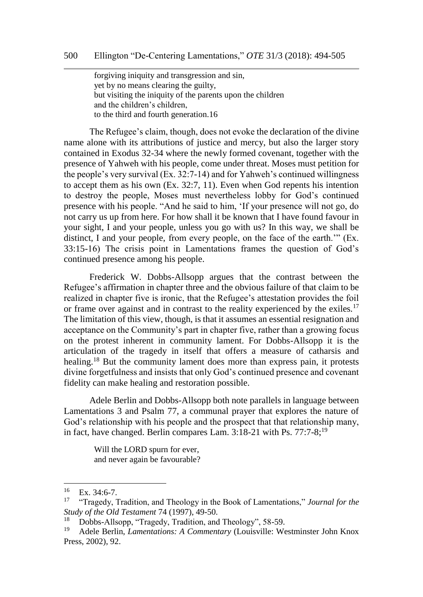forgiving iniquity and transgression and sin, yet by no means clearing the guilty, but visiting the iniquity of the parents upon the children and the children's children, to the third and fourth generation.16

The Refugee's claim, though, does not evoke the declaration of the divine name alone with its attributions of justice and mercy, but also the larger story contained in Exodus 32-34 where the newly formed covenant, together with the presence of Yahweh with his people, come under threat. Moses must petition for the people's very survival (Ex. 32:7-14) and for Yahweh's continued willingness to accept them as his own (Ex. 32:7, 11). Even when God repents his intention to destroy the people, Moses must nevertheless lobby for God's continued presence with his people. "And he said to him, 'If your presence will not go, do not carry us up from here. For how shall it be known that I have found favour in your sight, I and your people, unless you go with us? In this way, we shall be distinct, I and your people, from every people, on the face of the earth.'" (Ex. 33:15-16) The crisis point in Lamentations frames the question of God's continued presence among his people.

Frederick W. Dobbs-Allsopp argues that the contrast between the Refugee's affirmation in chapter three and the obvious failure of that claim to be realized in chapter five is ironic, that the Refugee's attestation provides the foil or frame over against and in contrast to the reality experienced by the exiles.<sup>17</sup> The limitation of this view, though, is that it assumes an essential resignation and acceptance on the Community's part in chapter five, rather than a growing focus on the protest inherent in community lament. For Dobbs-Allsopp it is the articulation of the tragedy in itself that offers a measure of catharsis and healing.<sup>18</sup> But the community lament does more than express pain, it protests divine forgetfulness and insists that only God's continued presence and covenant fidelity can make healing and restoration possible.

Adele Berlin and Dobbs-Allsopp both note parallels in language between Lamentations 3 and Psalm 77, a communal prayer that explores the nature of God's relationship with his people and the prospect that that relationship many, in fact, have changed. Berlin compares Lam.  $3:18-21$  with Ps. 77:7-8;<sup>19</sup>

> Will the LORD spurn for ever, and never again be favourable?

 $\frac{16}{17}$  Ex. 34:6-7.

<sup>17</sup> "Tragedy, Tradition, and Theology in the Book of Lamentations," *Journal for the Study of the Old Testament* 74 (1997), 49-50.

<sup>&</sup>lt;sup>18</sup> Dobbs-Allsopp, "Tragedy, Tradition, and Theology", 58-59.<br><sup>19</sup> Adele Berlin, *Lamentations: A Commentary* (Louisville: We

<sup>19</sup> Adele Berlin, *Lamentations: A Commentary* (Louisville: Westminster John Knox Press, 2002), 92.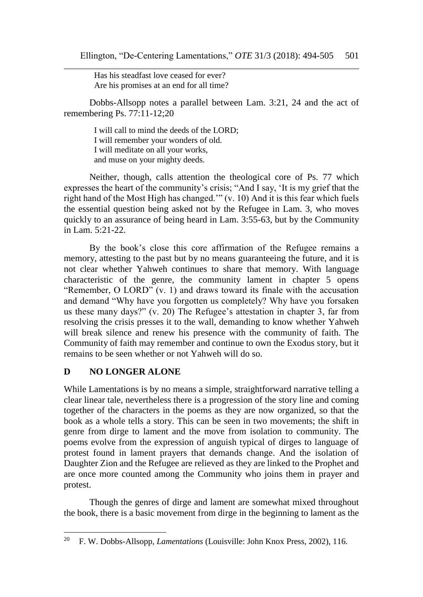Has his steadfast love ceased for ever? Are his promises at an end for all time?

Dobbs-Allsopp notes a parallel between Lam. 3:21, 24 and the act of remembering Ps. 77:11-12;20

I will call to mind the deeds of the LORD; I will remember your wonders of old. I will meditate on all your works, and muse on your mighty deeds.

Neither, though, calls attention the theological core of Ps. 77 which expresses the heart of the community's crisis; "And I say, 'It is my grief that the right hand of the Most High has changed.'" (v. 10) And it is this fear which fuels the essential question being asked not by the Refugee in Lam. 3, who moves quickly to an assurance of being heard in Lam. 3:55-63, but by the Community in Lam. 5:21-22.

By the book's close this core affirmation of the Refugee remains a memory, attesting to the past but by no means guaranteeing the future, and it is not clear whether Yahweh continues to share that memory. With language characteristic of the genre, the community lament in chapter 5 opens "Remember, O LORD" (v. 1) and draws toward its finale with the accusation and demand "Why have you forgotten us completely? Why have you forsaken us these many days?" (v. 20) The Refugee's attestation in chapter 3, far from resolving the crisis presses it to the wall, demanding to know whether Yahweh will break silence and renew his presence with the community of faith. The Community of faith may remember and continue to own the Exodus story, but it remains to be seen whether or not Yahweh will do so.

## **D NO LONGER ALONE**

 $\overline{a}$ 

While Lamentations is by no means a simple, straightforward narrative telling a clear linear tale, nevertheless there is a progression of the story line and coming together of the characters in the poems as they are now organized, so that the book as a whole tells a story. This can be seen in two movements; the shift in genre from dirge to lament and the move from isolation to community. The poems evolve from the expression of anguish typical of dirges to language of protest found in lament prayers that demands change. And the isolation of Daughter Zion and the Refugee are relieved as they are linked to the Prophet and are once more counted among the Community who joins them in prayer and protest.

Though the genres of dirge and lament are somewhat mixed throughout the book, there is a basic movement from dirge in the beginning to lament as the

<sup>20</sup> F. W. Dobbs-Allsopp, *Lamentations* (Louisville: John Knox Press, 2002), 116.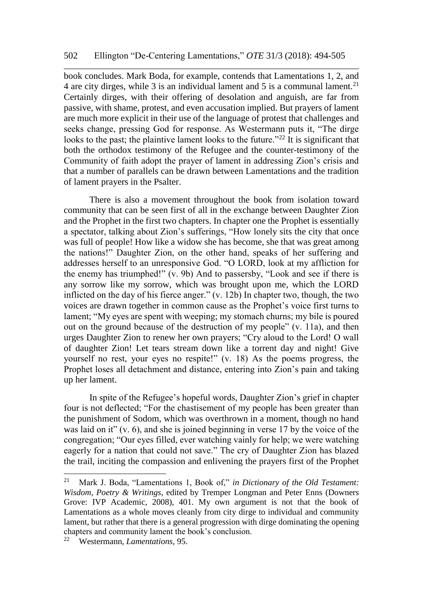book concludes. Mark Boda, for example, contends that Lamentations 1, 2, and 4 are city dirges, while 3 is an individual lament and 5 is a communal lament.<sup>21</sup> Certainly dirges, with their offering of desolation and anguish, are far from passive, with shame, protest, and even accusation implied. But prayers of lament are much more explicit in their use of the language of protest that challenges and seeks change, pressing God for response. As Westermann puts it, "The dirge looks to the past; the plaintive lament looks to the future."<sup>22</sup> It is significant that both the orthodox testimony of the Refugee and the counter-testimony of the Community of faith adopt the prayer of lament in addressing Zion's crisis and that a number of parallels can be drawn between Lamentations and the tradition of lament prayers in the Psalter.

There is also a movement throughout the book from isolation toward community that can be seen first of all in the exchange between Daughter Zion and the Prophet in the first two chapters. In chapter one the Prophet is essentially a spectator, talking about Zion's sufferings, "How lonely sits the city that once was full of people! How like a widow she has become, she that was great among the nations!" Daughter Zion, on the other hand, speaks of her suffering and addresses herself to an unresponsive God. "O LORD, look at my affliction for the enemy has triumphed!" (v. 9b) And to passersby, "Look and see if there is any sorrow like my sorrow, which was brought upon me, which the LORD inflicted on the day of his fierce anger." (v. 12b) In chapter two, though, the two voices are drawn together in common cause as the Prophet's voice first turns to lament; "My eyes are spent with weeping; my stomach churns; my bile is poured out on the ground because of the destruction of my people" (v. 11a), and then urges Daughter Zion to renew her own prayers; "Cry aloud to the Lord! O wall of daughter Zion! Let tears stream down like a torrent day and night! Give yourself no rest, your eyes no respite!" (v. 18) As the poems progress, the Prophet loses all detachment and distance, entering into Zion's pain and taking up her lament.

In spite of the Refugee's hopeful words, Daughter Zion's grief in chapter four is not deflected; "For the chastisement of my people has been greater than the punishment of Sodom, which was overthrown in a moment, though no hand was laid on it" (v. 6), and she is joined beginning in verse 17 by the voice of the congregation; "Our eyes filled, ever watching vainly for help; we were watching eagerly for a nation that could not save." The cry of Daughter Zion has blazed the trail, inciting the compassion and enlivening the prayers first of the Prophet

<sup>21</sup> <sup>21</sup> Mark J. Boda, "Lamentations 1, Book of," *in Dictionary of the Old Testament: Wisdom, Poetry & Writings*, edited by Tremper Longman and Peter Enns (Downers Grove: IVP Academic, 2008), 401. My own argument is not that the book of Lamentations as a whole moves cleanly from city dirge to individual and community lament, but rather that there is a general progression with dirge dominating the opening chapters and community lament the book's conclusion.

<sup>22</sup> Westermann, *Lamentations*, 95.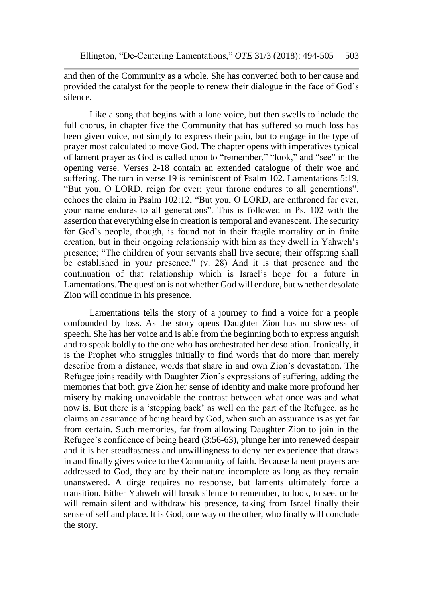and then of the Community as a whole. She has converted both to her cause and provided the catalyst for the people to renew their dialogue in the face of God's silence.

Like a song that begins with a lone voice, but then swells to include the full chorus, in chapter five the Community that has suffered so much loss has been given voice, not simply to express their pain, but to engage in the type of prayer most calculated to move God. The chapter opens with imperatives typical of lament prayer as God is called upon to "remember," "look," and "see" in the opening verse. Verses 2-18 contain an extended catalogue of their woe and suffering. The turn in verse 19 is reminiscent of Psalm 102. Lamentations 5:19, "But you, O LORD, reign for ever; your throne endures to all generations", echoes the claim in Psalm 102:12, "But you, O LORD, are enthroned for ever, your name endures to all generations". This is followed in Ps. 102 with the assertion that everything else in creation is temporal and evanescent. The security for God's people, though, is found not in their fragile mortality or in finite creation, but in their ongoing relationship with him as they dwell in Yahweh's presence; "The children of your servants shall live secure; their offspring shall be established in your presence." (v. 28) And it is that presence and the continuation of that relationship which is Israel's hope for a future in Lamentations. The question is not whether God will endure, but whether desolate Zion will continue in his presence.

Lamentations tells the story of a journey to find a voice for a people confounded by loss. As the story opens Daughter Zion has no slowness of speech. She has her voice and is able from the beginning both to express anguish and to speak boldly to the one who has orchestrated her desolation. Ironically, it is the Prophet who struggles initially to find words that do more than merely describe from a distance, words that share in and own Zion's devastation. The Refugee joins readily with Daughter Zion's expressions of suffering, adding the memories that both give Zion her sense of identity and make more profound her misery by making unavoidable the contrast between what once was and what now is. But there is a 'stepping back' as well on the part of the Refugee, as he claims an assurance of being heard by God, when such an assurance is as yet far from certain. Such memories, far from allowing Daughter Zion to join in the Refugee's confidence of being heard (3:56-63), plunge her into renewed despair and it is her steadfastness and unwillingness to deny her experience that draws in and finally gives voice to the Community of faith. Because lament prayers are addressed to God, they are by their nature incomplete as long as they remain unanswered. A dirge requires no response, but laments ultimately force a transition. Either Yahweh will break silence to remember, to look, to see, or he will remain silent and withdraw his presence, taking from Israel finally their sense of self and place. It is God, one way or the other, who finally will conclude the story.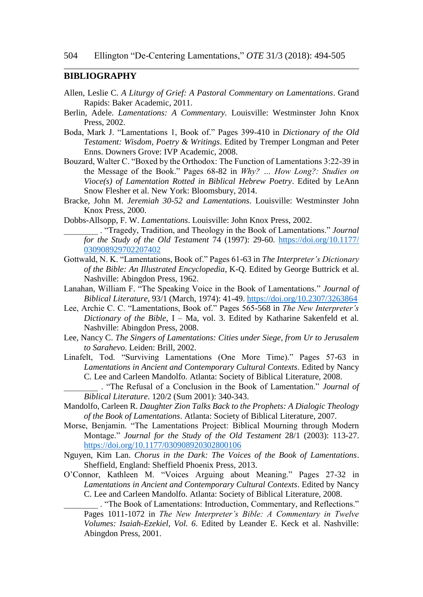#### **BIBLIOGRAPHY**

- Allen, Leslie C. *A Liturgy of Grief: A Pastoral Commentary on Lamentations*. Grand Rapids: Baker Academic, 2011.
- Berlin, Adele. *Lamentations: A Commentary.* Louisville: Westminster John Knox Press, 2002.
- Boda, Mark J. "Lamentations 1, Book of." Pages 399-410 in *Dictionary of the Old Testament: Wisdom, Poetry & Writings*. Edited by Tremper Longman and Peter Enns. Downers Grove: IVP Academic, 2008.
- Bouzard, Walter C. "Boxed by the Orthodox: The Function of Lamentations 3:22-39 in the Message of the Book." Pages 68-82 in *Why? … How Long?: Studies on Vioce(s) of Lamentation Rotted in Biblical Hebrew Poetry*. Edited by LeAnn Snow Flesher et al. New York: Bloomsbury, 2014.
- Bracke, John M. *Jeremiah 30-52 and Lamentations*. Louisville: Westminster John Knox Press, 2000.
- Dobbs-Allsopp, F. W. *Lamentations*. Louisville: John Knox Press, 2002.
	- \_\_\_\_\_\_\_\_ . "Tragedy, Tradition, and Theology in the Book of Lamentations." *Journal for the Study of the Old Testament* 74 (1997): 29-60. [https://doi.org/10.1177/](https://doi.org/10.1177/%20030908929702207402)  [030908929702207402](https://doi.org/10.1177/%20030908929702207402)
- Gottwald, N. K. "Lamentations, Book of." Pages 61-63 in *The Interpreter's Dictionary of the Bible: An Illustrated Encyclopedia*, K-Q. Edited by George Buttrick et al. Nashville: Abingdon Press, 1962.
- Lanahan, William F. "The Speaking Voice in the Book of Lamentations." *Journal of Biblical Literature*, 93/1 (March, 1974): 41-49.<https://doi.org/10.2307/3263864>
- Lee, Archie C. C. "Lamentations, Book of." Pages 565-568 in *The New Interpreter's Dictionary of the Bible*, I – Ma, vol. 3. Edited by Katharine Sakenfeld et al. Nashville: Abingdon Press, 2008.
- Lee, Nancy C. *The Singers of Lamentations: Cities under Siege, from Ur to Jerusalem to Sarahevo*. Leiden: Brill, 2002.
- Linafelt, Tod. "Surviving Lamentations (One More Time)." Pages 57-63 in *Lamentations in Ancient and Contemporary Cultural Contexts*. Edited by Nancy C. Lee and Carleen Mandolfo. Atlanta: Society of Biblical Literature, 2008.
	- \_\_\_\_\_\_\_\_ . "The Refusal of a Conclusion in the Book of Lamentation." *Journal of Biblical Literature*. 120/2 (Sum 2001): 340-343.
- Mandolfo, Carleen R. *Daughter Zion Talks Back to the Prophets: A Dialogic Theology of the Book of Lamentations*. Atlanta: Society of Biblical Literature, 2007.
- Morse, Benjamin. "The Lamentations Project: Biblical Mourning through Modern Montage." *Journal for the Study of the Old Testament* 28/1 (2003): 113-27. <https://doi.org/10.1177/030908920302800106>
- Nguyen, Kim Lan. *Chorus in the Dark: The Voices of the Book of Lamentations*. Sheffield, England: Sheffield Phoenix Press, 2013.
- O'Connor, Kathleen M. "Voices Arguing about Meaning." Pages 27-32 in *Lamentations in Ancient and Contemporary Cultural Contexts*. Edited by Nancy C. Lee and Carleen Mandolfo. Atlanta: Society of Biblical Literature, 2008.
	- \_\_\_\_\_\_\_\_ . "The Book of Lamentations: Introduction, Commentary, and Reflections." Pages 1011-1072 in *The New Interpreter's Bible: A Commentary in Twelve Volumes: Isaiah-Ezekiel, Vol. 6*. Edited by Leander E. Keck et al. Nashville: Abingdon Press, 2001.